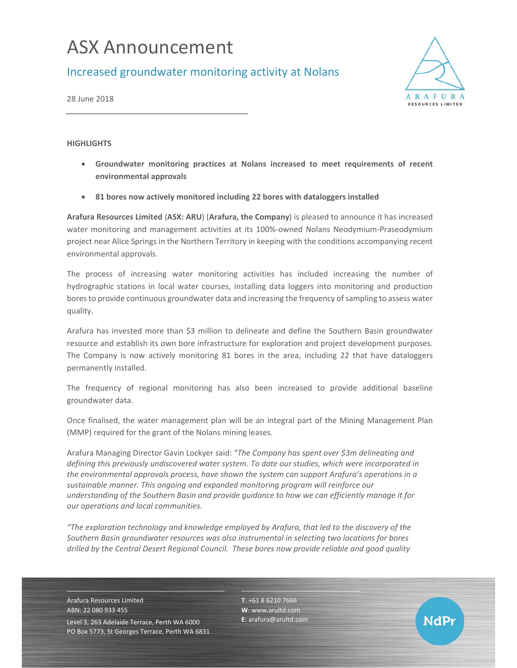# ASX Announcement

Increased groundwater monitoring activity at Nolans



NdPr

28 June 2018

### **HIGHLIGHTS**

- **Groundwater monitoring practices at Nolans increased to meet requirements of recent environmental approvals**
- **81 bores now actively monitored including 22 bores with dataloggers installed**

**Arafura Resources Limited** (**ASX: ARU**) (**Arafura, the Company**) is pleased to announce it has increased water monitoring and management activities at its 100%-owned Nolans Neodymium-Praseodymium project near Alice Springs in the Northern Territory in keeping with the conditions accompanying recent environmental approvals.

The process of increasing water monitoring activities has included increasing the number of hydrographic stations in local water courses, installing data loggers into monitoring and production bores to provide continuous groundwater data and increasing the frequency of sampling to assess water quality.

Arafura has invested more than \$3 million to delineate and define the Southern Basin groundwater resource and establish its own bore infrastructure for exploration and project development purposes. The Company is now actively monitoring 81 bores in the area, including 22 that have dataloggers permanently installed.

The frequency of regional monitoring has also been increased to provide additional baseline groundwater data.

Once finalised, the water management plan will be an integral part of the Mining Management Plan (MMP) required for the grant of the Nolans mining leases.

Arafura Managing Director Gavin Lockyer said: "*The Company has spent over \$3m delineating and defining this previously undiscovered water system. To date our studies, which were incorporated in the environmental approvals process, have shown the system can support Arafura's operations in a sustainable manner. This ongoing and expanded monitoring program will reinforce our understanding of the Southern Basin and provide guidance to how we can efficiently manage it for our operations and local communities.* 

*"The exploration technology and knowledge employed by Arafura, that led to the discovery of the Southern Basin groundwater resources was also instrumental in selecting two locations for bores drilled by the Central Desert Regional Council. These bores now provide reliable and good quality* 

Arafura Resources Limited ABN: 22 080 933 455 Level 3, 263 Adelaide Terrace, Perth WA 6000 PO Box 5773, St Georges Terrace, Perth WA 6831 **T**: +61 8 6210 7666 **W**: www.arultd.com **E**: arafura@arultd.com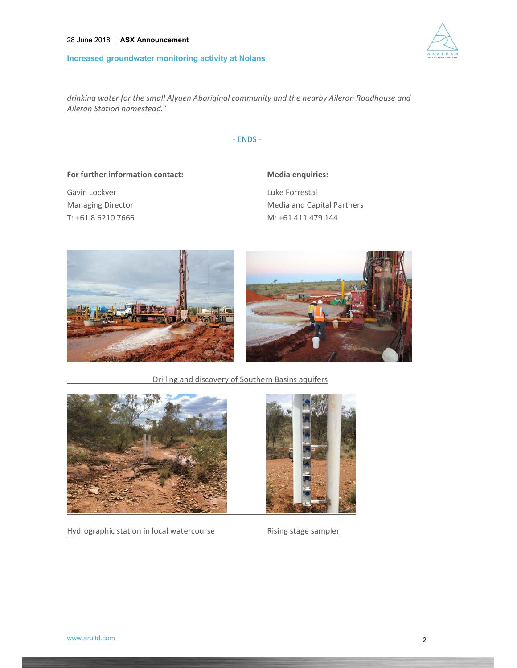#### **Increased groundwater monitoring activity at Nolans**



*drinking water for the small Alyuen Aboriginal community and the nearby Aileron Roadhouse and Aileron Station homestead.*"

‐ ENDS ‐

### **For further information contact: Media enquiries:**

Gavin Lockyer **Carried Executes** Euke Forrestal

Managing Director Media and Capital Partners T: +61 8 6210 7666 M: +61 411 479 144



Drilling and discovery of Southern Basins aquifers



Hydrographic station in local watercourse **Rising stage sampler** 

![](_page_1_Picture_13.jpeg)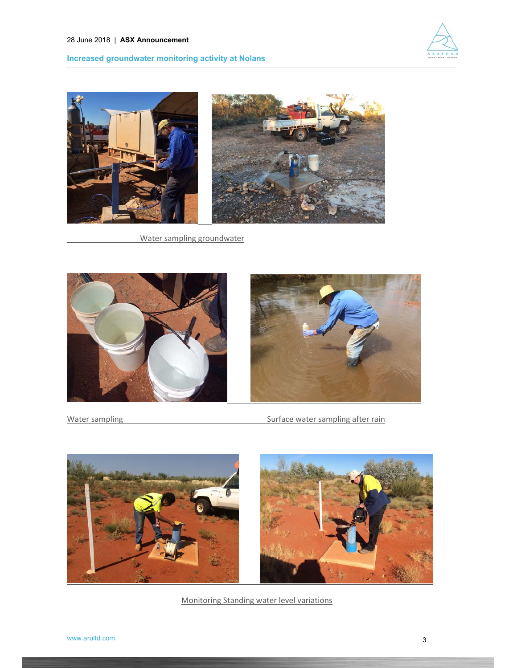![](_page_2_Picture_1.jpeg)

## **Increased groundwater monitoring activity at Nolans**

![](_page_2_Picture_3.jpeg)

Water sampling groundwater

![](_page_2_Picture_5.jpeg)

Water sampling **Water School Contract Contract Contract Contract Contract Contract Contract Contract Contract Contract Contract Contract Contract Contract Contract Contract Contract Contract Contract Contract Contract Cont** 

![](_page_2_Picture_8.jpeg)

Monitoring Standing water level variations